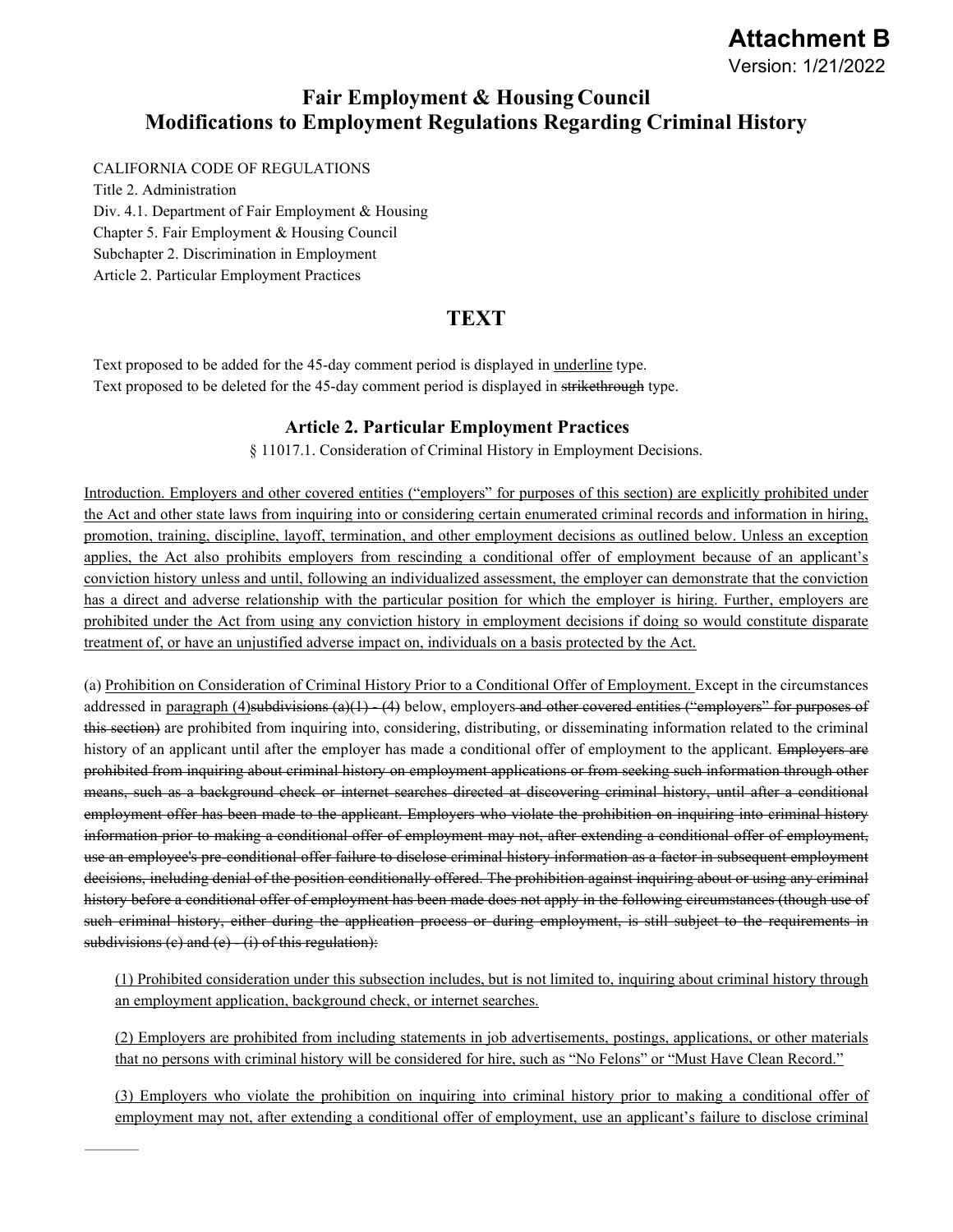# **Attachment B** Version: 1/21/2022

## **Fair Employment & Housing Council Modifications to Employment Regulations Regarding Criminal History**

#### CALIFORNIA CODE OF REGULATIONS

Title 2. Administration Div. 4.1. Department of Fair Employment & Housing Chapter 5. Fair Employment & Housing Council Subchapter 2. Discrimination in Employment Article 2. Particular Employment Practices

## **TEXT**

Text proposed to be added for the 45-day comment period is displayed in underline type. Text proposed to be deleted for the 45-day comment period is displayed in strikethrough type.

### **Article 2. Particular Employment Practices**

§ 11017.1. Consideration of Criminal History in Employment Decisions.

Introduction. Employers and other covered entities ("employers" for purposes of this section) are explicitly prohibited under the Act and other state laws from inquiring into or considering certain enumerated criminal records and information in hiring, promotion, training, discipline, layoff, termination, and other employment decisions as outlined below. Unless an exception applies, the Act also prohibits employers from rescinding a conditional offer of employment because of an applicant's conviction history unless and until, following an individualized assessment, the employer can demonstrate that the conviction has a direct and adverse relationship with the particular position for which the employer is hiring. Further, employers are prohibited under the Act from using any conviction history in employment decisions if doing so would constitute disparate treatment of, or have an unjustified adverse impact on, individuals on a basis protected by the Act.

(a) Prohibition on Consideration of Criminal History Prior to a Conditional Offer of Employment. Except in the circumstances addressed in paragraph  $(4)$ subdivisions  $(a)(1)$   $(4)$  below, employers and other covered entities ("employers" for purposes of this section) are prohibited from inquiring into, considering, distributing, or disseminating information related to the criminal history of an applicant until after the employer has made a conditional offer of employment to the applicant. Employers are prohibited from inquiring about criminal history on employment applications or from seeking such information through other means, such as a background check or internet searches directed at discovering criminal history, until after a conditional employment offer has been made to the applicant. Employers who violate the prohibition on inquiring into criminal history information prior to making a conditional offer of employment may not, after extending a conditional offer of employment, use an employee's pre-conditional offer failure to disclose criminal history information as a factor in subsequent employment decisions, including denial of the position conditionally offered. The prohibition against inquiring about or using any criminal history before a conditional offer of employment has been made does not apply in the following circumstances (though use of such criminal history, either during the application process or during employment, is still subject to the requirements in subdivisions (c) and (e) (i) of this regulation):

(1) Prohibited consideration under this subsection includes, but is not limited to, inquiring about criminal history through an employment application, background check, or internet searches.

(2) Employers are prohibited from including statements in job advertisements, postings, applications, or other materials that no persons with criminal history will be considered for hire, such as "No Felons" or "Must Have Clean Record."

(3) Employers who violate the prohibition on inquiring into criminal history prior to making a conditional offer of employment may not, after extending a conditional offer of employment, use an applicant's failure to disclose criminal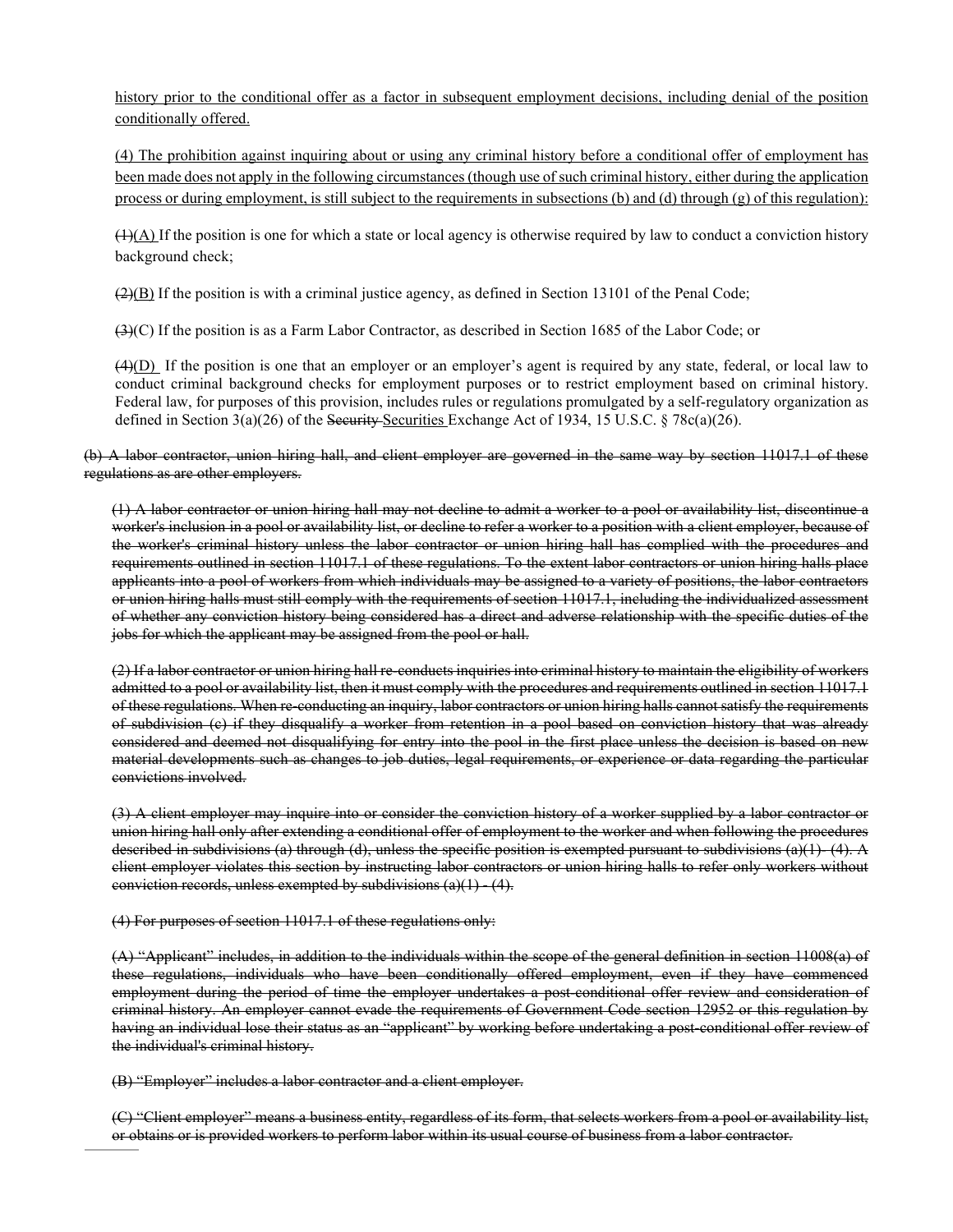history prior to the conditional offer as a factor in subsequent employment decisions, including denial of the position conditionally offered.

(4) The prohibition against inquiring about or using any criminal history before a conditional offer of employment has been made does not apply in the following circumstances (though use of such criminal history, either during the application process or during employment, is still subject to the requirements in subsections (b) and (d) through (g) of this regulation):

 $(1)(A)$  If the position is one for which a state or local agency is otherwise required by law to conduct a conviction history background check;

 $(2)(B)$  If the position is with a criminal justice agency, as defined in [Section 13101 of the Penal Code;](http://www.westlaw.com/Link/Document/FullText?findType=L&pubNum=1000217&cite=CAPES13101&originatingDoc=I49287983D83B4C90B75BA9FC40C42FB2&refType=LQ&originationContext=document&vr=3.0&rs=cblt1.0&transitionType=DocumentItem&contextData=(sc.UserEnteredCitation))

(3)(C) If the position is as a Farm Labor Contractor, as described i[n Section 1685 of the Labor Code;](http://www.westlaw.com/Link/Document/FullText?findType=L&pubNum=1000215&cite=CALBS1685&originatingDoc=I49287983D83B4C90B75BA9FC40C42FB2&refType=LQ&originationContext=document&vr=3.0&rs=cblt1.0&transitionType=DocumentItem&contextData=(sc.UserEnteredCitation)) or

 $(4)(D)$  If the position is one that an employer or an employer's agent is required by any state, federal, or local law to conduct criminal background checks for employment purposes or to restrict employment based on criminal history. Federal law, for purposes of this provision, includes rules or regulations promulgated by a self-regulatory organization as defined in Section 3(a)(26) of the Security-Securities Exchange Act of 1934[, 15 U.S.C. § 78c\(a\)\(26\).](http://www.westlaw.com/Link/Document/FullText?findType=L&pubNum=1000546&cite=15USCAS78C&originatingDoc=I49287983D83B4C90B75BA9FC40C42FB2&refType=RB&originationContext=document&vr=3.0&rs=cblt1.0&transitionType=DocumentItem&contextData=(sc.UserEnteredCitation)#co_pp_923e00009a834)

#### (b) A labor contractor, union hiring hall, and client employer are governed in the same way by section 11017.1 of these regulations as are other employers.

(1) A labor contractor or union hiring hall may not decline to admit a worker to a pool or availability list, discontinue a worker's inclusion in a pool or availability list, or decline to refer a worker to a position with a client employer, because of the worker's criminal history unless the labor contractor or union hiring hall has complied with the procedures and requirements outlined in section 11017.1 of these regulations. To the extent labor contractors or union hiring halls place applicants into a pool of workers from which individuals may be assigned to a variety of positions, the labor contractors or union hiring halls must still comply with the requirements of section 11017.1, including the individualized assessment of whether any conviction history being considered has a direct and adverse relationship with the specific duties of the jobs for which the applicant may be assigned from the pool or hall.

(2) If a labor contractor or union hiring hall re-conducts inquiries into criminal history to maintain the eligibility of workers admitted to a pool or availability list, then it must comply with the procedures and requirements outlined in section 11017.1 of these regulations. When re-conducting an inquiry, labor contractors or union hiring halls cannot satisfy the requirements of subdivision (c) if they disqualify a worker from retention in a pool based on conviction history that was already considered and deemed not disqualifying for entry into the pool in the first place unless the decision is based on new material developments such as changes to job duties, legal requirements, or experience or data regarding the particular convictions involved.

(3) A client employer may inquire into or consider the conviction history of a worker supplied by a labor contractor or union hiring hall only after extending a conditional offer of employment to the worker and when following the procedures described in subdivisions (a) through (d), unless the specific position is exempted pursuant to subdivisions (a)(1)  $(4)$ . A client employer violates this section by instructing labor contractors or union hiring halls to refer only workers without conviction records, unless exempted by subdivisions  $(a)(1) - (4)$ .

(4) For purposes of section 11017.1 of these regulations only:

(A) "Applicant" includes, in addition to the individuals within the scope of the general definition in section 11008(a) of these regulations, individuals who have been conditionally offered employment, even if they have commenced employment during the period of time the employer undertakes a post-conditional offer review and consideration of criminal history. An employer cannot evade the requirements of Government Code section 12952 or this regulation by having an individual lose their status as an "applicant" by working before undertaking a post-conditional offer review of the individual's criminal history.

(B) "Employer" includes a labor contractor and a client employer.

(C) "Client employer" means a business entity, regardless of its form, that selects workers from a pool or availability list, or obtains or is provided workers to perform labor within its usual course of business from a labor contractor.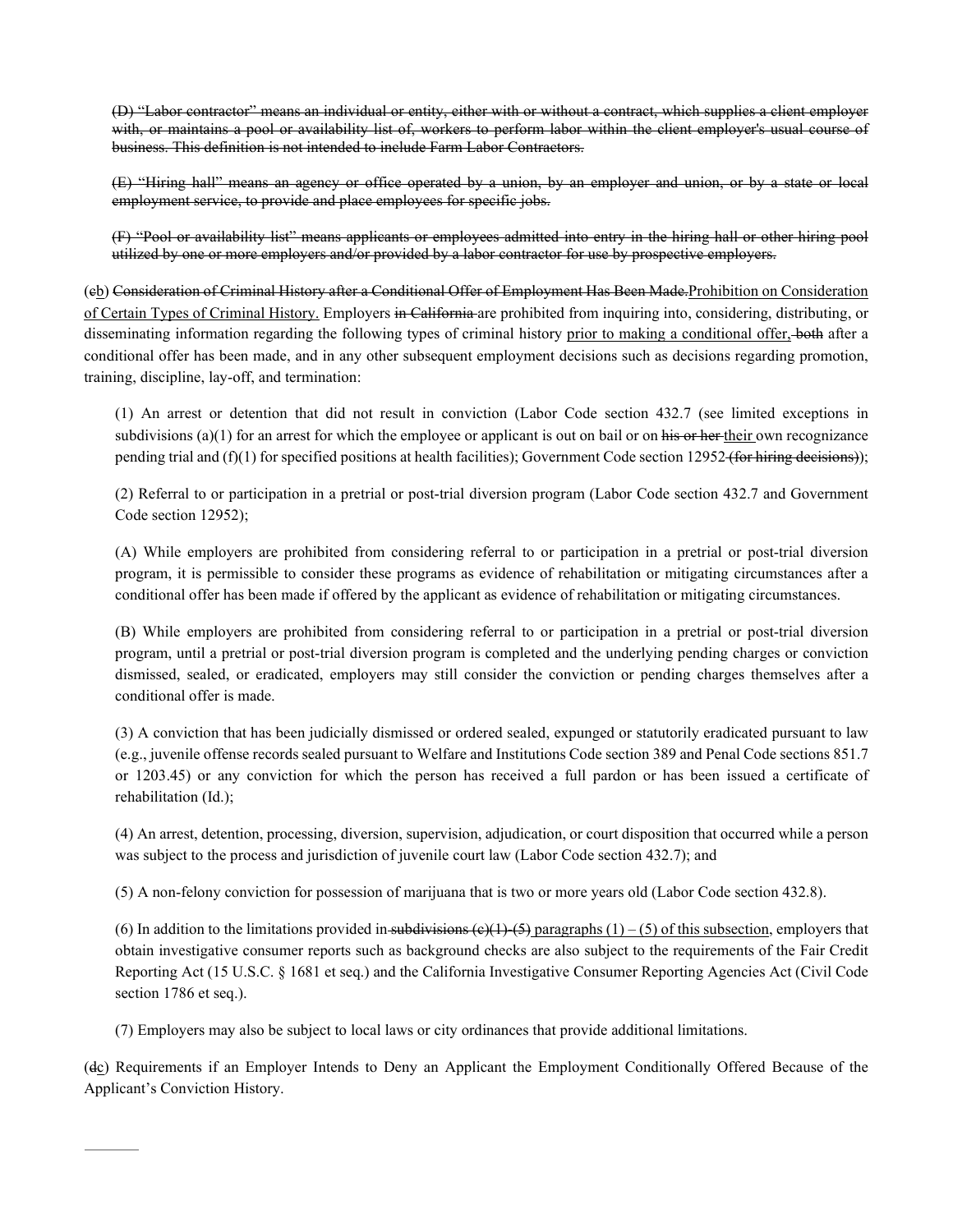(D) "Labor contractor" means an individual or entity, either with or without a contract, which supplies a client employer with, or maintains a pool or availability list of, workers to perform labor within the client employer's usual course of business. This definition is not intended to include Farm Labor Contractors.

(E) "Hiring hall" means an agency or office operated by a union, by an employer and union, or by a state or local employment service, to provide and place employees for specific jobs.

(F) "Pool or availability list" means applicants or employees admitted into entry in the hiring hall or other hiring pool utilized by one or more employers and/or provided by a labor contractor for use by prospective employers.

(cb) Consideration of Criminal History after a Conditional Offer of Employment Has Been Made.Prohibition on Consideration of Certain Types of Criminal History. Employers in California are prohibited from inquiring into, considering, distributing, or disseminating information regarding the following types of criminal history prior to making a conditional offer, both after a conditional offer has been made, and in any other subsequent employment decisions such as decisions regarding promotion, training, discipline, lay-off, and termination:

(1) An arrest or detention that did not result in conviction [\(Labor Code section 432.7](http://www.westlaw.com/Link/Document/FullText?findType=L&pubNum=1000215&cite=CALBS432.7&originatingDoc=I49287983D83B4C90B75BA9FC40C42FB2&refType=LQ&originationContext=document&vr=3.0&rs=cblt1.0&transitionType=DocumentItem&contextData=(sc.UserEnteredCitation)) (see limited exceptions in subdivisions  $(a)(1)$  for an arrest for which the employee or applicant is out on bail or on his or her their own recognizance pending trial and  $(f)(1)$  for specified positions at health facilities)[; Government Code section 12952](http://www.westlaw.com/Link/Document/FullText?findType=L&pubNum=1000211&cite=CAGTS12952&originatingDoc=I49287983D83B4C90B75BA9FC40C42FB2&refType=LQ&originationContext=document&vr=3.0&rs=cblt1.0&transitionType=DocumentItem&contextData=(sc.UserEnteredCitation)) (for hiring decisions));

(2) Referral to or participation in a pretrial or post-trial diversion program [\(Labor Code section 432.7](http://www.westlaw.com/Link/Document/FullText?findType=L&pubNum=1000215&cite=CALBS432.7&originatingDoc=I49287983D83B4C90B75BA9FC40C42FB2&refType=LQ&originationContext=document&vr=3.0&rs=cblt1.0&transitionType=DocumentItem&contextData=(sc.UserEnteredCitation)) and [Government](http://www.westlaw.com/Link/Document/FullText?findType=L&pubNum=1000211&cite=CAGTS12952&originatingDoc=I49287983D83B4C90B75BA9FC40C42FB2&refType=LQ&originationContext=document&vr=3.0&rs=cblt1.0&transitionType=DocumentItem&contextData=(sc.UserEnteredCitation))  [Code section 12952\)](http://www.westlaw.com/Link/Document/FullText?findType=L&pubNum=1000211&cite=CAGTS12952&originatingDoc=I49287983D83B4C90B75BA9FC40C42FB2&refType=LQ&originationContext=document&vr=3.0&rs=cblt1.0&transitionType=DocumentItem&contextData=(sc.UserEnteredCitation));

(A) While employers are prohibited from considering referral to or participation in a pretrial or post-trial diversion program, it is permissible to consider these programs as evidence of rehabilitation or mitigating circumstances after a conditional offer has been made if offered by the applicant as evidence of rehabilitation or mitigating circumstances.

(B) While employers are prohibited from considering referral to or participation in a pretrial or post-trial diversion program, until a pretrial or post-trial diversion program is completed and the underlying pending charges or conviction dismissed, sealed, or eradicated, employers may still consider the conviction or pending charges themselves after a conditional offer is made.

(3) A conviction that has been judicially dismissed or ordered sealed, expunged or statutorily eradicated pursuant to law (e.g., juvenile offense records sealed pursuant t[o Welfare and Institutions Code section 389](http://www.westlaw.com/Link/Document/FullText?findType=L&pubNum=1000228&cite=CAWIS389&originatingDoc=I49287983D83B4C90B75BA9FC40C42FB2&refType=LQ&originationContext=document&vr=3.0&rs=cblt1.0&transitionType=DocumentItem&contextData=(sc.UserEnteredCitation)) an[d Penal Code sections 851.7](http://www.westlaw.com/Link/Document/FullText?findType=L&pubNum=1000217&cite=CAPES851.7&originatingDoc=I49287983D83B4C90B75BA9FC40C42FB2&refType=LQ&originationContext=document&vr=3.0&rs=cblt1.0&transitionType=DocumentItem&contextData=(sc.UserEnteredCitation)) or [1203.45\)](http://www.westlaw.com/Link/Document/FullText?findType=L&pubNum=1000217&cite=CAPES1203.45&originatingDoc=I49287983D83B4C90B75BA9FC40C42FB2&refType=LQ&originationContext=document&vr=3.0&rs=cblt1.0&transitionType=DocumentItem&contextData=(sc.UserEnteredCitation)) or any conviction for which the person has received a full pardon or has been issued a certificate of rehabilitation (Id.);

(4) An arrest, detention, processing, diversion, supervision, adjudication, or court disposition that occurred while a person was subject to the process and jurisdiction of juvenile court law [\(Labor Code section 432.7\)](http://www.westlaw.com/Link/Document/FullText?findType=L&pubNum=1000215&cite=CALBS432.7&originatingDoc=I49287983D83B4C90B75BA9FC40C42FB2&refType=LQ&originationContext=document&vr=3.0&rs=cblt1.0&transitionType=DocumentItem&contextData=(sc.UserEnteredCitation)); and

(5) A non-felony conviction for possession of marijuana that is two or more years old [\(Labor Code section 432.8\)](http://www.westlaw.com/Link/Document/FullText?findType=L&pubNum=1000215&cite=CALBS432.8&originatingDoc=I49287983D83B4C90B75BA9FC40C42FB2&refType=LQ&originationContext=document&vr=3.0&rs=cblt1.0&transitionType=DocumentItem&contextData=(sc.UserEnteredCitation)).

(6) In addition to the limitations provided in subdivisions (e)(1)-(5) paragraphs (1) – (5) of this subsection, employers that obtain investigative consumer reports such as background checks are also subject to the requirements of the Fair Credit Reporting Act [\(15 U.S.C. § 1681 et seq.\)](http://www.westlaw.com/Link/Document/FullText?findType=L&pubNum=1000546&cite=15USCAS1681&originatingDoc=I49287983D83B4C90B75BA9FC40C42FB2&refType=LQ&originationContext=document&vr=3.0&rs=cblt1.0&transitionType=DocumentItem&contextData=(sc.UserEnteredCitation)) and the California Investigative Consumer Reporting Agencies Act [\(Civil Code](http://www.westlaw.com/Link/Document/FullText?findType=L&pubNum=1000200&cite=CACIS1786&originatingDoc=I49287983D83B4C90B75BA9FC40C42FB2&refType=LQ&originationContext=document&vr=3.0&rs=cblt1.0&transitionType=DocumentItem&contextData=(sc.UserEnteredCitation))  [section 1786 et seq.\)](http://www.westlaw.com/Link/Document/FullText?findType=L&pubNum=1000200&cite=CACIS1786&originatingDoc=I49287983D83B4C90B75BA9FC40C42FB2&refType=LQ&originationContext=document&vr=3.0&rs=cblt1.0&transitionType=DocumentItem&contextData=(sc.UserEnteredCitation)).

(7) Employers may also be subject to local laws or city ordinances that provide additional limitations.

(dc) Requirements if an Employer Intends to Deny an Applicant the Employment Conditionally Offered Because of the Applicant's Conviction History.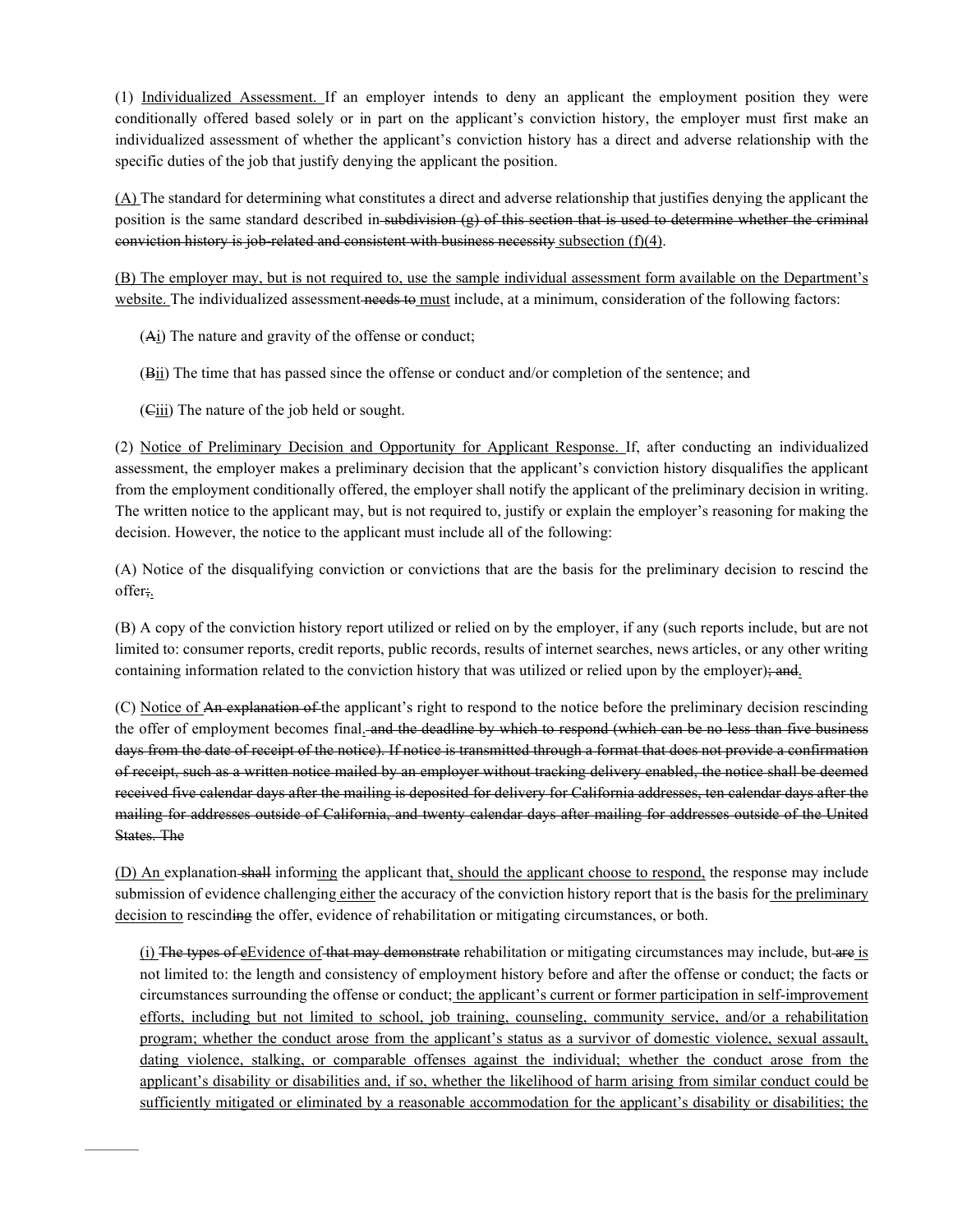(1) Individualized Assessment. If an employer intends to deny an applicant the employment position they were conditionally offered based solely or in part on the applicant's conviction history, the employer must first make an individualized assessment of whether the applicant's conviction history has a direct and adverse relationship with the specific duties of the job that justify denying the applicant the position.

(A) The standard for determining what constitutes a direct and adverse relationship that justifies denying the applicant the position is the same standard described in subdivision (g) of this section that is used to determine whether the criminal conviction history is job-related and consistent with business necessity subsection  $(f)(4)$ .

(B) The employer may, but is not required to, use the sample individual assessment form available on the Department's website. The individualized assessment needs to must include, at a minimum, consideration of the following factors:

- (Ai) The nature and gravity of the offense or conduct;
- (Bii) The time that has passed since the offense or conduct and/or completion of the sentence; and
- (Ciii) The nature of the job held or sought.

(2) Notice of Preliminary Decision and Opportunity for Applicant Response. If, after conducting an individualized assessment, the employer makes a preliminary decision that the applicant's conviction history disqualifies the applicant from the employment conditionally offered, the employer shall notify the applicant of the preliminary decision in writing. The written notice to the applicant may, but is not required to, justify or explain the employer's reasoning for making the decision. However, the notice to the applicant must include all of the following:

(A) Notice of the disqualifying conviction or convictions that are the basis for the preliminary decision to rescind the offer;.

(B) A copy of the conviction history report utilized or relied on by the employer, if any (such reports include, but are not limited to: consumer reports, credit reports, public records, results of internet searches, news articles, or any other writing containing information related to the conviction history that was utilized or relied upon by the employer); and.

(C) Notice of An explanation of the applicant's right to respond to the notice before the preliminary decision rescinding the offer of employment becomes final. and the deadline by which to respond (which can be no less than five business days from the date of receipt of the notice). If notice is transmitted through a format that does not provide a confirmation of receipt, such as a written notice mailed by an employer without tracking delivery enabled, the notice shall be deemed received five calendar days after the mailing is deposited for delivery for California addresses, ten calendar days after the mailing for addresses outside of California, and twenty calendar days after mailing for addresses outside of the United States. The

(D) An explanation-shall informing the applicant that, should the applicant choose to respond, the response may include submission of evidence challenging either the accuracy of the conviction history report that is the basis for the preliminary decision to rescinding the offer, evidence of rehabilitation or mitigating circumstances, or both.

(i) The types of eEvidence of that may demonstrate rehabilitation or mitigating circumstances may include, but are is not limited to: the length and consistency of employment history before and after the offense or conduct; the facts or circumstances surrounding the offense or conduct; the applicant's current or former participation in self-improvement efforts, including but not limited to school, job training, counseling, community service, and/or a rehabilitation program; whether the conduct arose from the applicant's status as a survivor of domestic violence, sexual assault, dating violence, stalking, or comparable offenses against the individual; whether the conduct arose from the applicant's disability or disabilities and, if so, whether the likelihood of harm arising from similar conduct could be sufficiently mitigated or eliminated by a reasonable accommodation for the applicant's disability or disabilities; the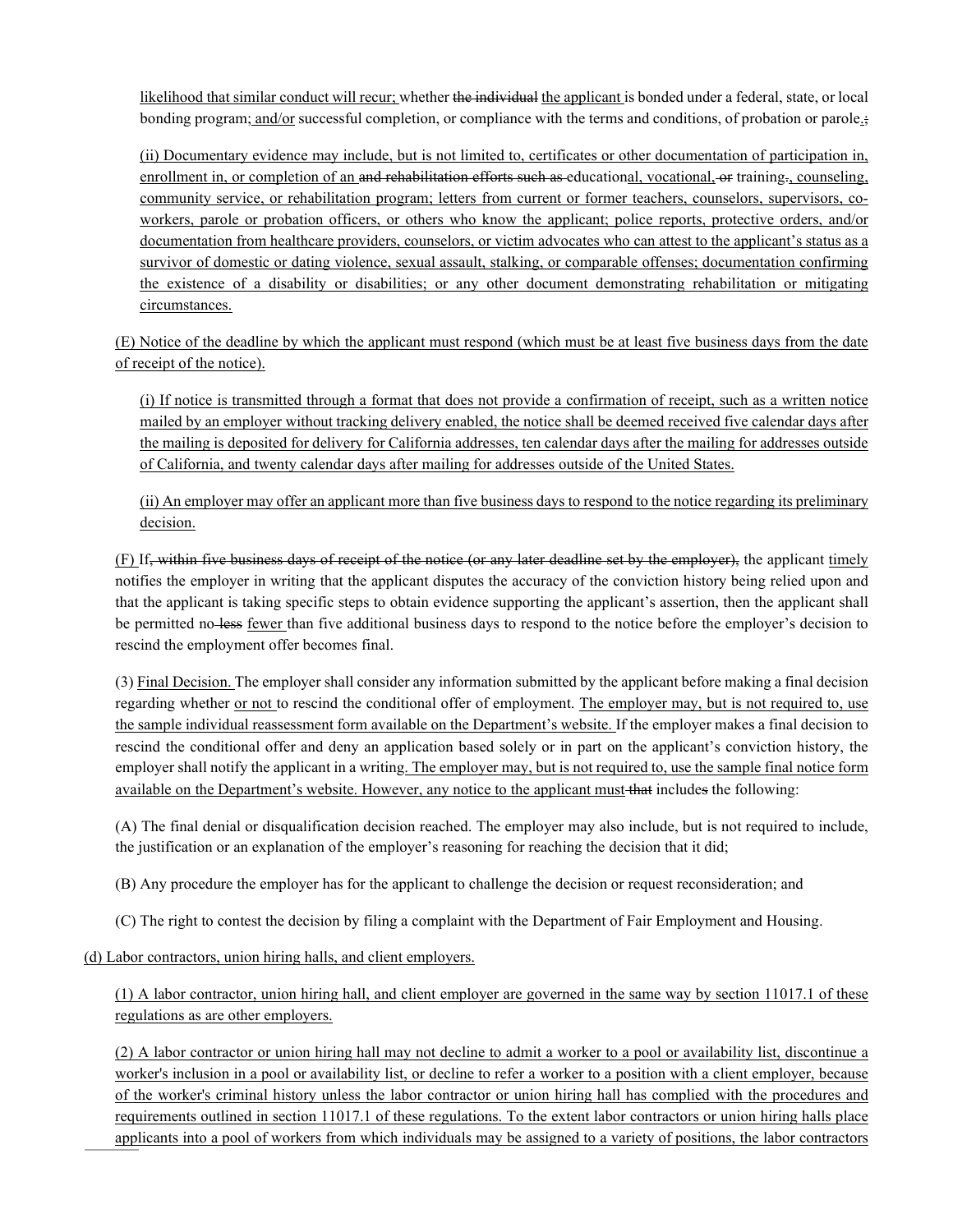likelihood that similar conduct will recur; whether the individual the applicant is bonded under a federal, state, or local bonding program; and/or successful completion, or compliance with the terms and conditions, of probation or parole.;

(ii) Documentary evidence may include, but is not limited to, certificates or other documentation of participation in, enrollment in, or completion of an and rehabilitation efforts such as educational, vocational, or training, counseling, community service, or rehabilitation program; letters from current or former teachers, counselors, supervisors, coworkers, parole or probation officers, or others who know the applicant; police reports, protective orders, and/or documentation from healthcare providers, counselors, or victim advocates who can attest to the applicant's status as a survivor of domestic or dating violence, sexual assault, stalking, or comparable offenses; documentation confirming the existence of a disability or disabilities; or any other document demonstrating rehabilitation or mitigating circumstances.

(E) Notice of the deadline by which the applicant must respond (which must be at least five business days from the date of receipt of the notice).

(i) If notice is transmitted through a format that does not provide a confirmation of receipt, such as a written notice mailed by an employer without tracking delivery enabled, the notice shall be deemed received five calendar days after the mailing is deposited for delivery for California addresses, ten calendar days after the mailing for addresses outside of California, and twenty calendar days after mailing for addresses outside of the United States.

(ii) An employer may offer an applicant more than five business days to respond to the notice regarding its preliminary decision.

(F) If, within five business days of receipt of the notice (or any later deadline set by the employer), the applicant timely notifies the employer in writing that the applicant disputes the accuracy of the conviction history being relied upon and that the applicant is taking specific steps to obtain evidence supporting the applicant's assertion, then the applicant shall be permitted no-less fewer than five additional business days to respond to the notice before the employer's decision to rescind the employment offer becomes final.

(3) Final Decision. The employer shall consider any information submitted by the applicant before making a final decision regarding whether or not to rescind the conditional offer of employment. The employer may, but is not required to, use the sample individual reassessment form available on the Department's website. If the employer makes a final decision to rescind the conditional offer and deny an application based solely or in part on the applicant's conviction history, the employer shall notify the applicant in a writing. The employer may, but is not required to, use the sample final notice form available on the Department's website. However, any notice to the applicant must that includes the following:

(A) The final denial or disqualification decision reached. The employer may also include, but is not required to include, the justification or an explanation of the employer's reasoning for reaching the decision that it did;

(B) Any procedure the employer has for the applicant to challenge the decision or request reconsideration; and

(C) The right to contest the decision by filing a complaint with the Department of Fair Employment and Housing.

(d) Labor contractors, union hiring halls, and client employers.

(1) A labor contractor, union hiring hall, and client employer are governed in the same way by section 11017.1 of these regulations as are other employers.

(2) A labor contractor or union hiring hall may not decline to admit a worker to a pool or availability list, discontinue a worker's inclusion in a pool or availability list, or decline to refer a worker to a position with a client employer, because of the worker's criminal history unless the labor contractor or union hiring hall has complied with the procedures and requirements outlined in section 11017.1 of these regulations. To the extent labor contractors or union hiring halls place applicants into a pool of workers from which individuals may be assigned to a variety of positions, the labor contractors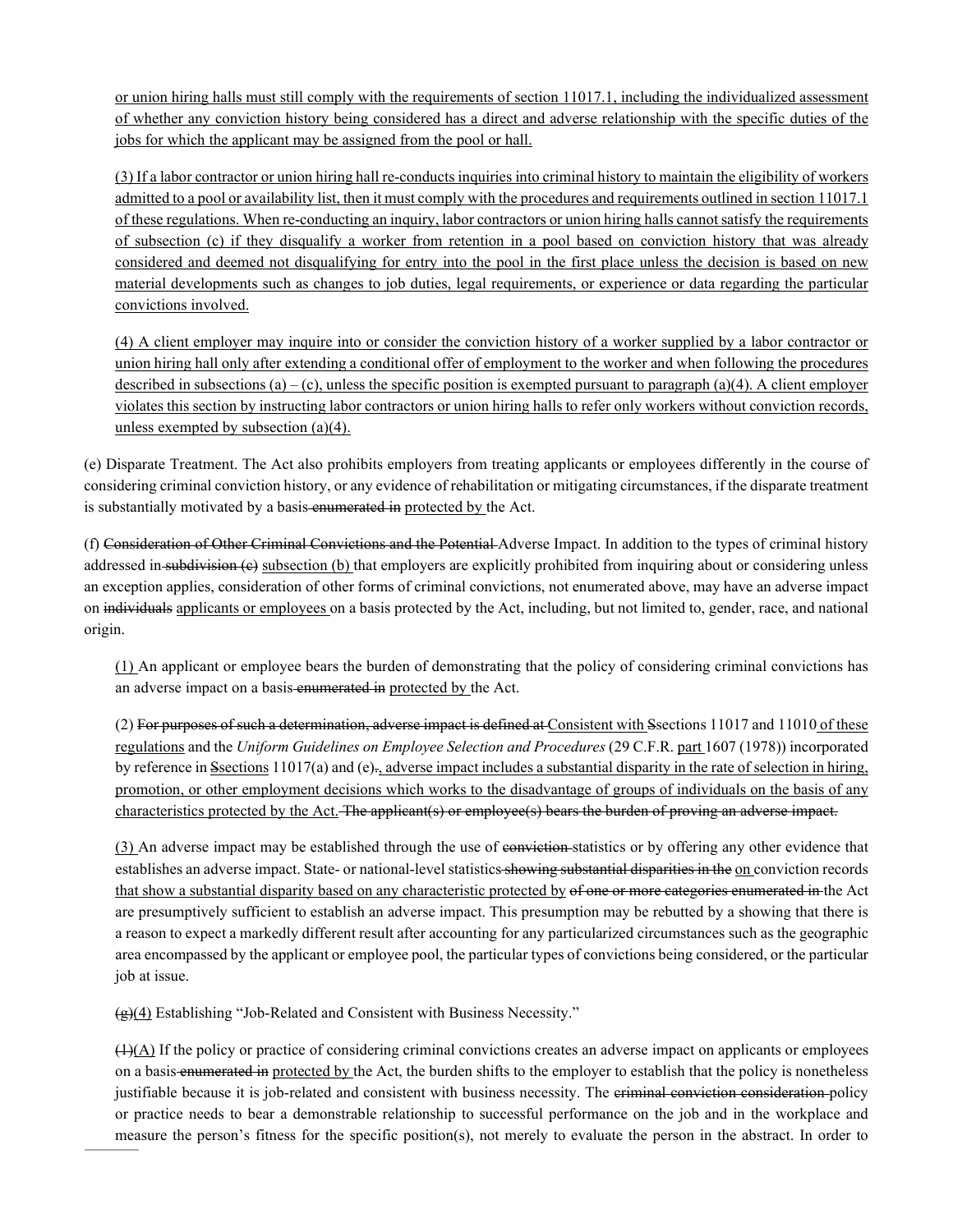or union hiring halls must still comply with the requirements of section 11017.1, including the individualized assessment of whether any conviction history being considered has a direct and adverse relationship with the specific duties of the jobs for which the applicant may be assigned from the pool or hall.

(3) If a labor contractor or union hiring hall re-conducts inquiries into criminal history to maintain the eligibility of workers admitted to a pool or availability list, then it must comply with the procedures and requirements outlined in section 11017.1 of these regulations. When re-conducting an inquiry, labor contractors or union hiring halls cannot satisfy the requirements of subsection (c) if they disqualify a worker from retention in a pool based on conviction history that was already considered and deemed not disqualifying for entry into the pool in the first place unless the decision is based on new material developments such as changes to job duties, legal requirements, or experience or data regarding the particular convictions involved.

(4) A client employer may inquire into or consider the conviction history of a worker supplied by a labor contractor or union hiring hall only after extending a conditional offer of employment to the worker and when following the procedures described in subsections  $(a) - (c)$ , unless the specific position is exempted pursuant to paragraph  $(a)(4)$ . A client employer violates this section by instructing labor contractors or union hiring halls to refer only workers without conviction records, unless exempted by subsection (a)(4).

(e) Disparate Treatment. The Act also prohibits employers from treating applicants or employees differently in the course of considering criminal conviction history, or any evidence of rehabilitation or mitigating circumstances, if the disparate treatment is substantially motivated by a basis enumerated in protected by the Act.

(f) Consideration of Other Criminal Convictions and the Potential Adverse Impact. In addition to the types of criminal history addressed in subdivision (e) subsection (b) that employers are explicitly prohibited from inquiring about or considering unless an exception applies, consideration of other forms of criminal convictions, not enumerated above, may have an adverse impact on individuals applicants or employees on a basis protected by the Act, including, but not limited to, gender, race, and national origin.

(1) An applicant or employee bears the burden of demonstrating that the policy of considering criminal convictions has an adverse impact on a basis enumerated in protected by the Act.

(2) For purposes of such a determination, adverse impact is defined at Consistent with Ssections 11017 and 11010 of these regulations and the *Uniform Guidelines on Employee Selection and Procedures* (29 C.F.R. part 1607 (1978)) incorporated by reference in Ssections 11017(a) and (e)-, adverse impact includes a substantial disparity in the rate of selection in hiring, promotion, or other employment decisions which works to the disadvantage of groups of individuals on the basis of any characteristics protected by the Act. The applicant(s) or employee(s) bears the burden of proving an adverse impact.

(3) An adverse impact may be established through the use of conviction statistics or by offering any other evidence that establishes an adverse impact. State- or national-level statistics showing substantial disparities in the on conviction records that show a substantial disparity based on any characteristic protected by of one or more categories enumerated in the Act are presumptively sufficient to establish an adverse impact. This presumption may be rebutted by a showing that there is a reason to expect a markedly different result after accounting for any particularized circumstances such as the geographic area encompassed by the applicant or employee pool, the particular types of convictions being considered, or the particular job at issue.

 $\left(\frac{g}{g}\right)$ (4) Establishing "Job-Related and Consistent with Business Necessity."

 $(4)$ (A) If the policy or practice of considering criminal convictions creates an adverse impact on applicants or employees on a basis enumerated in protected by the Act, the burden shifts to the employer to establish that the policy is nonetheless justifiable because it is job-related and consistent with business necessity. The eriminal conviction consideration policy or practice needs to bear a demonstrable relationship to successful performance on the job and in the workplace and measure the person's fitness for the specific position(s), not merely to evaluate the person in the abstract. In order to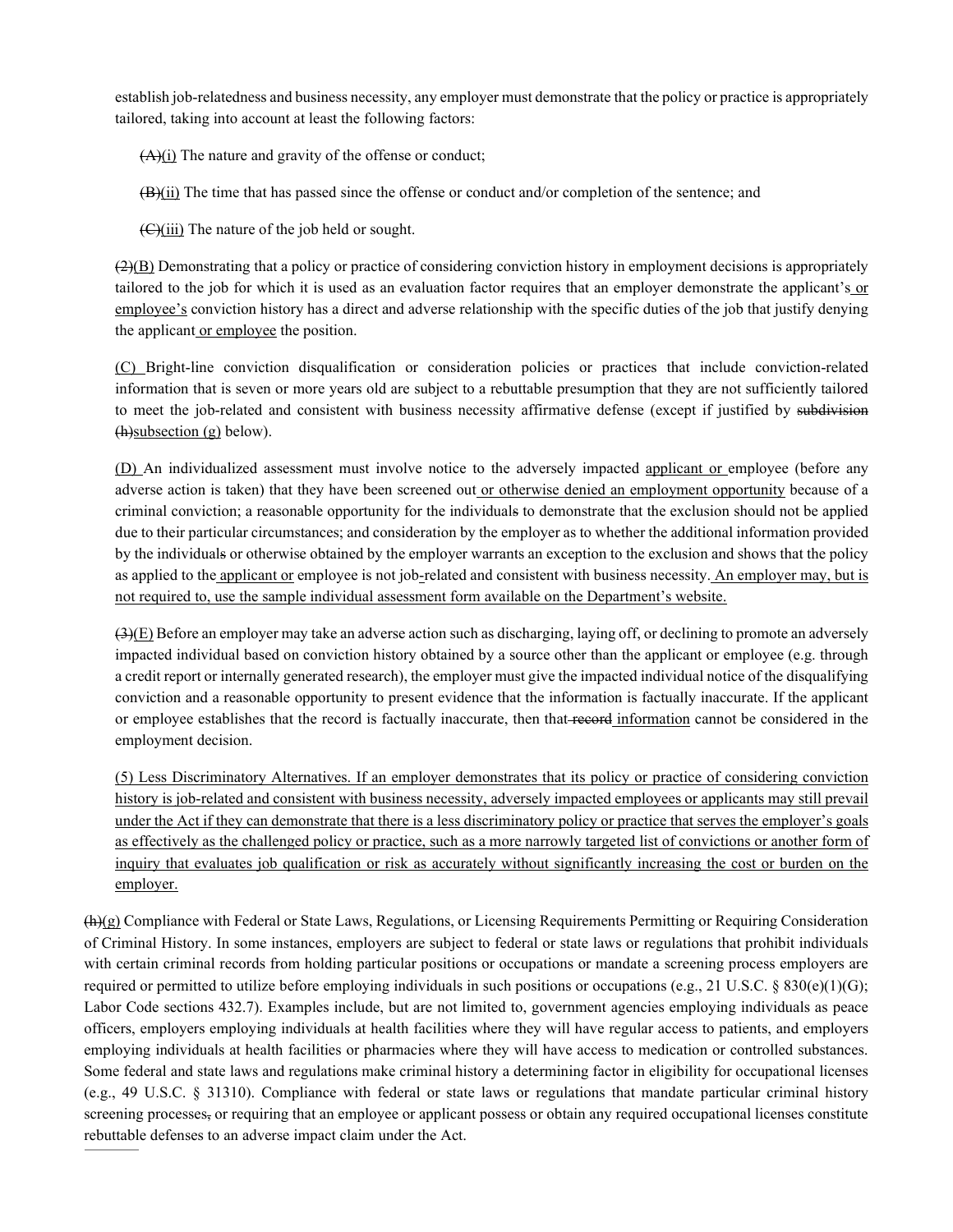establish job-relatedness and business necessity, any employer must demonstrate that the policy or practice is appropriately tailored, taking into account at least the following factors:

 $(A)(i)$  The nature and gravity of the offense or conduct;

 $(H)$ (ii) The time that has passed since the offense or conduct and/or completion of the sentence; and

(C)(iii) The nature of the job held or sought.

 $(2)(B)$  Demonstrating that a policy or practice of considering conviction history in employment decisions is appropriately tailored to the job for which it is used as an evaluation factor requires that an employer demonstrate the applicant's or employee's conviction history has a direct and adverse relationship with the specific duties of the job that justify denying the applicant or employee the position.

(C) Bright-line conviction disqualification or consideration policies or practices that include conviction-related information that is seven or more years old are subject to a rebuttable presumption that they are not sufficiently tailored to meet the job-related and consistent with business necessity affirmative defense (except if justified by subdivision (h)subsection (g) below).

(D) An individualized assessment must involve notice to the adversely impacted applicant or employee (before any adverse action is taken) that they have been screened out or otherwise denied an employment opportunity because of a criminal conviction; a reasonable opportunity for the individuals to demonstrate that the exclusion should not be applied due to their particular circumstances; and consideration by the employer as to whether the additional information provided by the individuals or otherwise obtained by the employer warrants an exception to the exclusion and shows that the policy as applied to the applicant or employee is not job-related and consistent with business necessity. An employer may, but is not required to, use the sample individual assessment form available on the Department's website.

 $(3)$ (E) Before an employer may take an adverse action such as discharging, laying off, or declining to promote an adversely impacted individual based on conviction history obtained by a source other than the applicant or employee (e.g. through a credit report or internally generated research), the employer must give the impacted individual notice of the disqualifying conviction and a reasonable opportunity to present evidence that the information is factually inaccurate. If the applicant or employee establishes that the record is factually inaccurate, then that record information cannot be considered in the employment decision.

(5) Less Discriminatory Alternatives. If an employer demonstrates that its policy or practice of considering conviction history is job-related and consistent with business necessity, adversely impacted employees or applicants may still prevail under the Act if they can demonstrate that there is a less discriminatory policy or practice that serves the employer's goals as effectively as the challenged policy or practice, such as a more narrowly targeted list of convictions or another form of inquiry that evaluates job qualification or risk as accurately without significantly increasing the cost or burden on the employer.

 $(h)(g)$  Compliance with Federal or State Laws, Regulations, or Licensing Requirements Permitting or Requiring Consideration of Criminal History. In some instances, employers are subject to federal or state laws or regulations that prohibit individuals with certain criminal records from holding particular positions or occupations or mandate a screening process employers are required or permitted to utilize before employing individuals in such positions or occupations (e.g., [21 U.S.C. § 830\(e\)\(1\)\(G\);](http://www.westlaw.com/Link/Document/FullText?findType=L&pubNum=1000546&cite=21USCAS830&originatingDoc=I49287983D83B4C90B75BA9FC40C42FB2&refType=RB&originationContext=document&vr=3.0&rs=cblt1.0&transitionType=DocumentItem&contextData=(sc.UserEnteredCitation)#co_pp_c877000046542) [Labor Code sections 432.7\)](http://www.westlaw.com/Link/Document/FullText?findType=L&pubNum=1000215&cite=CALBS432.7&originatingDoc=I49287983D83B4C90B75BA9FC40C42FB2&refType=LQ&originationContext=document&vr=3.0&rs=cblt1.0&transitionType=DocumentItem&contextData=(sc.UserEnteredCitation)). Examples include, but are not limited to, government agencies employing individuals as peace officers, employers employing individuals at health facilities where they will have regular access to patients, and employers employing individuals at health facilities or pharmacies where they will have access to medication or controlled substances. Some federal and state laws and regulations make criminal history a determining factor in eligibility for occupational licenses (e.g., [49 U.S.C. § 31310\)](http://www.westlaw.com/Link/Document/FullText?findType=L&pubNum=1000546&cite=49USCAS31310&originatingDoc=I49287983D83B4C90B75BA9FC40C42FB2&refType=LQ&originationContext=document&vr=3.0&rs=cblt1.0&transitionType=DocumentItem&contextData=(sc.UserEnteredCitation)). Compliance with federal or state laws or regulations that mandate particular criminal history screening processes, or requiring that an employee or applicant possess or obtain any required occupational licenses constitute rebuttable defenses to an adverse impact claim under the Act.